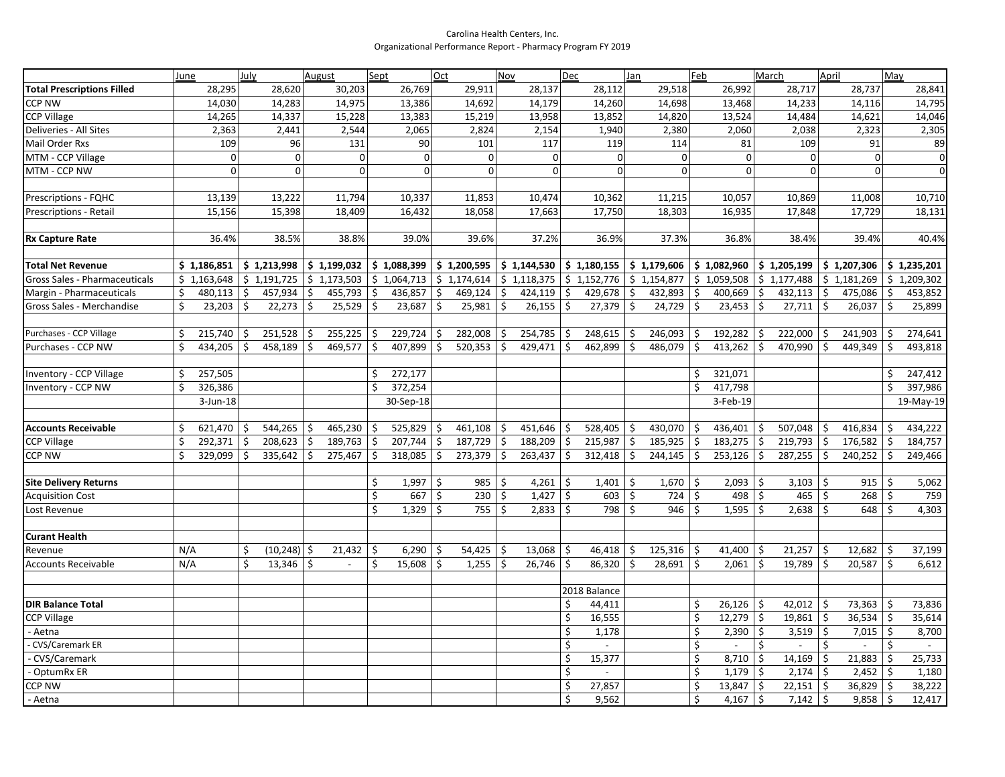## Carolina Health Centers, Inc. Organizational Performance Report - Pharmacy Program FY 2019

|                                   | June                 | July                          | August                               | Sept                       | Oct           | Nov                                                                                             | Dec                                                   | Jan                           | Feb                                       | March                                           | April                                | May                           |
|-----------------------------------|----------------------|-------------------------------|--------------------------------------|----------------------------|---------------|-------------------------------------------------------------------------------------------------|-------------------------------------------------------|-------------------------------|-------------------------------------------|-------------------------------------------------|--------------------------------------|-------------------------------|
| <b>Total Prescriptions Filled</b> | 28,295               | 28,620                        | 30,203                               | 26,769                     | 29,911        | 28,137                                                                                          | 28,112                                                | 29,518                        | 26,992                                    | 28,717                                          | 28,737                               | 28,841                        |
| <b>CCP NW</b>                     | 14,030               | 14,283                        | 14,975                               | 13,386                     | 14,692        | 14,179                                                                                          | 14,260                                                | 14,698                        | 13,468                                    | 14,233                                          | 14,116                               | 14,795                        |
| <b>CCP Village</b>                | 14,265               | 14,337                        | 15,228                               | 13,383                     | 15,219        | 13,958                                                                                          | 13,852                                                | 14,820                        | 13,524                                    | 14,484                                          | 14,621                               | 14,046                        |
| Deliveries - All Sites            | 2,363                | 2,441                         | 2,544                                | 2,065                      | 2,824         | 2,154                                                                                           | 1,940                                                 | 2,380                         | 2,060                                     | 2,038                                           | 2,323                                | 2,305                         |
| Mail Order Rxs                    | 109                  | 96                            | 131                                  | 90                         | 101           | 117                                                                                             | 119                                                   | 114                           | 81                                        | 109                                             | 91                                   | 89                            |
| MTM - CCP Village                 | 0                    | $\overline{0}$                | $\mathbf{0}$                         | $\mathbf 0$                | $\mathbf 0$   | $\mathbf{0}$                                                                                    | $\overline{0}$                                        | $\overline{0}$                | $\mathbf 0$                               | $\mathbf 0$                                     | $\Omega$                             | $\mathbf 0$                   |
| MTM - CCP NW                      | $\overline{0}$       | $\Omega$                      | $\Omega$                             | $\mathbf{0}$               | $\Omega$      | $\Omega$                                                                                        | $\Omega$                                              | $\Omega$                      | $\Omega$                                  | $\Omega$                                        | $\Omega$                             | $\Omega$                      |
|                                   |                      |                               |                                      |                            |               |                                                                                                 |                                                       |                               |                                           |                                                 |                                      |                               |
| Prescriptions - FQHC              | 13,139               | 13,222                        | 11,794                               | 10,337                     | 11,853        | 10,474                                                                                          | 10,362                                                | 11,215                        | 10,057                                    | 10,869                                          | 11,008                               | 10,710                        |
| Prescriptions - Retail            | 15,156               | 15,398                        | 18,409                               | 16,432                     | 18,058        | 17,663                                                                                          | 17,750                                                | 18,303                        | 16,935                                    | 17,848                                          | 17,729                               | 18,131                        |
|                                   |                      |                               |                                      |                            |               |                                                                                                 |                                                       |                               |                                           |                                                 |                                      |                               |
| <b>Rx Capture Rate</b>            | 36.4%                | 38.5%                         | 38.8%                                | 39.0%                      | 39.6%         | 37.2%                                                                                           | 36.9%                                                 | 37.3%                         | 36.8%                                     | 38.4%                                           | 39.4%                                | 40.4%                         |
| <b>Total Net Revenue</b>          | \$1,186,851          | $\frac{1}{2}$ \$ 1,213,998    | $$1,199,032$ $$1,088,399$            |                            |               | $\frac{1}{2}$ 1,200,595 $\frac{1}{2}$ 1,144,530 $\frac{1}{2}$ 1,180,155 $\frac{1}{2}$ 1,179,606 |                                                       |                               | $\vert$ \$ 1,082,960 $\vert$ \$ 1,205,199 |                                                 | $$1,207,306$ $$1,235,201$            |                               |
| Gross Sales - Pharmaceuticals     | \$1,163,648          | $ \$ 1,191,725  \$ 1,173,503$ |                                      | $\frac{1}{2}$ 1,064,713    |               | $$1,174,614$ $$1,118,375$                                                                       | $\frac{1}{2}$ \$ 1,152,776 $\frac{1}{2}$ \$ 1,154,877 |                               |                                           | $\frac{1}{2}$ 1,059,508 $\frac{1}{2}$ 1,177,488 | $$1,181,269$ $$1,209,302$            |                               |
| Margin - Pharmaceuticals          | 480,113<br>\$        | l \$<br>457,934               | \$<br>455,793                        | l \$<br>436,857            | \$<br>469,124 | \$<br>424,119                                                                                   | 429,678<br>\$                                         | \$<br>432,893                 | $400,669$ \$<br>\$                        | 432,113                                         | \$<br>475,086                        | 453,852<br>S.                 |
| Gross Sales - Merchandise         | 23,203<br>\$         | $\vert \xi \vert$<br>22,273   | \$<br>$25,529$ \$                    | 23,687                     | \$<br>25,981  | \$<br>26,155                                                                                    | \$<br>27,379                                          | \$<br>24,729                  | S.<br>23,453                              | $\zeta$<br>27,711                               | \$<br>26,037                         | \$<br>25,899                  |
|                                   |                      |                               |                                      |                            |               |                                                                                                 |                                                       |                               |                                           |                                                 |                                      |                               |
| Purchases - CCP Village           | \$<br>215,740        | 251,528<br>\$                 | $255,225$ \$<br>\$                   | 229,724                    | 282,008<br>\$ | 254,785<br>\$                                                                                   | 248,615<br>\$                                         | 246,093<br>\$                 | 192,282<br>-\$                            | 222,000<br>  \$                                 | 241,903<br>Ś                         | 274,641<br>Ŝ                  |
| Purchases - CCP NW                | Ś<br>434,205         | \$<br>458,189                 | \$<br>469,577                        | <b>S</b><br>407,899        | \$<br>520,353 | \$<br>429,471                                                                                   | \$<br>462,899                                         | \$<br>486,079                 | $413,262$ \$<br>\$                        | 470,990                                         | \$<br>449,349                        | 493,818<br>-\$                |
|                                   |                      |                               |                                      |                            |               |                                                                                                 |                                                       |                               |                                           |                                                 |                                      |                               |
| Inventory - CCP Village           | 257,505<br>Ś.        |                               |                                      | $\overline{272,177}$<br>Ś. |               |                                                                                                 |                                                       |                               | 321,071<br>\$                             |                                                 |                                      | 247,412<br>Ś                  |
| Inventory - CCP NW                | Ś.<br>326,386        |                               |                                      | 372,254<br>Ś.              |               |                                                                                                 |                                                       |                               | \$<br>417,798                             |                                                 |                                      | Ś<br>397,986                  |
|                                   | $3$ -Jun-18          |                               |                                      | 30-Sep-18                  |               |                                                                                                 |                                                       |                               | 3-Feb-19                                  |                                                 |                                      | 19-May-19                     |
|                                   |                      |                               |                                      |                            |               |                                                                                                 |                                                       |                               |                                           |                                                 |                                      |                               |
| <b>Accounts Receivable</b>        | $621,470$   \$<br>\$ | 544,265                       | \$<br>$465,230$ \$                   | 525,829                    | \$<br>461,108 | 451,646<br>\$                                                                                   | 528,405<br>\$                                         | \$<br>430,070                 | $436,401$ \$<br>\$                        | 507,048                                         | 416,834<br>\$                        | 434,222<br>\$ ا               |
| <b>CCP Village</b>                | \$<br>292,371        | \$<br>208,623                 | $\ddot{\varsigma}$<br>189,763        | 207,744<br>$\vert$ \$      | \$<br>187,729 | $\ddot{\mathsf{S}}$<br>188,209                                                                  | \$<br>215,987                                         | \$<br>185,925                 | $183,275$ \$<br>\$                        | 219,793                                         | \$<br>176,582                        | \$<br>184,757                 |
| CCP NW                            | Ś<br>329,099         | $\vert$ \$<br>335,642         | \$<br>$275,467$ \$                   | 318,085                    | \$<br>273,379 | $\ddot{\varsigma}$<br>263,437                                                                   | $\zeta$<br>312,418                                    | $\ddot{\varsigma}$<br>244,145 | $\dot{\mathsf{S}}$<br>$253,126$ \$        | 287,255                                         | \$<br>240,252                        | $\dot{\mathsf{s}}$<br>249,466 |
|                                   |                      |                               |                                      |                            |               |                                                                                                 |                                                       |                               |                                           |                                                 |                                      |                               |
| <b>Site Delivery Returns</b>      |                      |                               |                                      | \$<br>1,997                | \$<br>985     | -\$<br>4,261                                                                                    | \$<br>1,401                                           | \$<br>1,670                   | $2,093$ \$<br>S.                          | 3,103                                           | Ŝ.<br>915                            | 5,062<br>5                    |
| <b>Acquisition Cost</b>           |                      |                               |                                      | \$<br>667                  | \$<br>230     | \$<br>1,427                                                                                     | \$<br>603                                             | \$<br>724                     | $\ddot{\mathsf{S}}$<br>498                | $\ddot{\mathsf{S}}$<br>465                      | \$<br>268                            | $\zeta$<br>759                |
| Lost Revenue                      |                      |                               |                                      | \$<br>1,329                | \$<br>755     | \$<br>2,833                                                                                     | \$<br>798                                             | $\ddot{\varsigma}$<br>946     | $\ddot{\varsigma}$<br>1,595               | 5<br>2,638                                      | \$<br>648                            | 4,303<br>5                    |
| <b>Curant Health</b>              |                      |                               |                                      |                            |               |                                                                                                 |                                                       |                               |                                           |                                                 |                                      |                               |
| Revenue                           | N/A                  | $(10,248)$ \$<br>\$           | $21,432$ \$                          | 6,290                      | \$<br>54,425  | 13,068<br>Ŝ.                                                                                    | 46,418<br>Ŝ.                                          | \$<br>125,316                 | 41,400<br>Ŝ.                              | 5 ا<br>21,257                                   | 12,682<br>Ŝ.                         | 37,199<br>-\$                 |
| Accounts Receivable               | N/A                  | \$<br>13,346                  | $\mathsf{\hat{S}}$<br>$\blacksquare$ | \$<br>15,608               | \$<br>1,255   | $\zeta$<br>26,746                                                                               | Ś.<br>86,320                                          | \$<br>28,691                  | 2,061<br>\$                               | $\zeta$<br>19,789                               | \$<br>20,587                         | \$<br>6,612                   |
|                                   |                      |                               |                                      |                            |               |                                                                                                 |                                                       |                               |                                           |                                                 |                                      |                               |
|                                   |                      |                               |                                      |                            |               |                                                                                                 | 2018 Balance                                          |                               |                                           |                                                 |                                      |                               |
| <b>DIR Balance Total</b>          |                      |                               |                                      |                            |               |                                                                                                 | Ś.<br>44,411                                          |                               | \$<br>$26,126$ \$                         | 42,012                                          | \$<br>73,363                         | 73,836<br>\$ ا                |
| <b>CCP Village</b>                |                      |                               |                                      |                            |               |                                                                                                 | \$<br>16,555                                          |                               | \$<br>$12,279$ \$                         | 19,861                                          | \$<br>$36,534$ \$                    | 35,614                        |
| - Aetna                           |                      |                               |                                      |                            |               |                                                                                                 | Ś.<br>1,178                                           |                               | \$<br>2,390                               | $\zeta$<br>3,519                                | \$<br>7,015                          | 8,700<br>S.                   |
| <b>CVS/Caremark ER</b>            |                      |                               |                                      |                            |               |                                                                                                 | Ś.                                                    |                               | \$<br>$\mathbb{L}$                        | \$<br>$\mathbb{L}$                              | \$                                   | \$                            |
| <b>CVS/Caremark</b>               |                      |                               |                                      |                            |               |                                                                                                 | 15,377<br>Ś                                           |                               | \$<br>8,710                               | $\ddot{\mathsf{S}}$<br>14,169                   | 21,883<br>Ś                          | 25,733<br>\$                  |
| OptumRx ER                        |                      |                               |                                      |                            |               |                                                                                                 | $\overline{\varsigma}$                                |                               | $\overline{\varsigma}$<br>$1,179$ \$      | 2,174                                           | $\overline{\varsigma}$<br>$2,452$ \$ | 1,180                         |
| CCP NW                            |                      |                               |                                      |                            |               |                                                                                                 | Ś.<br>27,857                                          |                               | \$<br>$13,847$ \$                         | 22,151                                          | \$<br>$36,829$ \$                    | 38,222                        |
| - Aetna                           |                      |                               |                                      |                            |               |                                                                                                 | 9,562<br>Ś.                                           |                               | Ś.<br>$4,167$ \$                          | 7,142                                           | $\ddot{\varsigma}$<br>9,858          | 12,417<br>-\$                 |